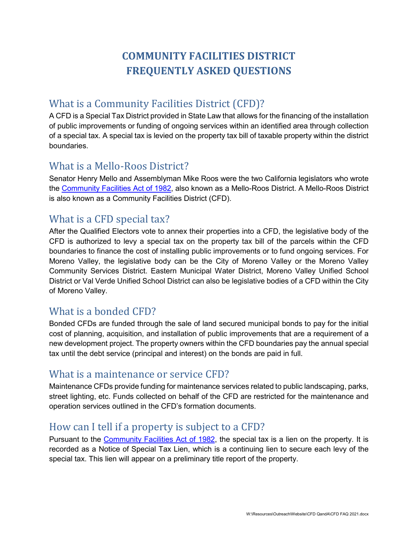# **COMMUNITY FACILITIES DISTRICT FREQUENTLY ASKED QUESTIONS**

## What is a Community Facilities District (CFD)?

A CFD is a Special Tax District provided in State Law that allows for the financing of the installation of public improvements or funding of ongoing services within an identified area through collection of a special tax. A special tax is levied on the property tax bill of taxable property within the district boundaries.

### What is a Mello-Roos District?

Senator Henry Mello and Assemblyman Mike Roos were the two California legislators who wrote the [Community Facilities Act of 1982,](https://leginfo.legislature.ca.gov/faces/codes_displaySection.xhtml?lawCode=GOV§ionNum=53311) also known as a Mello-Roos District. A Mello-Roos District is also known as a Community Facilities District (CFD).

### What is a CFD special tax?

After the Qualified Electors vote to annex their properties into a CFD, the legislative body of the CFD is authorized to levy a special tax on the property tax bill of the parcels within the CFD boundaries to finance the cost of installing public improvements or to fund ongoing services. For Moreno Valley, the legislative body can be the City of Moreno Valley or the Moreno Valley Community Services District. Eastern Municipal Water District, Moreno Valley Unified School District or Val Verde Unified School District can also be legislative bodies of a CFD within the City of Moreno Valley.

### What is a bonded CFD?

Bonded CFDs are funded through the sale of land secured municipal bonds to pay for the initial cost of planning, acquisition, and installation of public improvements that are a requirement of a new development project. The property owners within the CFD boundaries pay the annual special tax until the debt service (principal and interest) on the bonds are paid in full.

### What is a maintenance or service CFD?

Maintenance CFDs provide funding for maintenance services related to public landscaping, parks, street lighting, etc. Funds collected on behalf of the CFD are restricted for the maintenance and operation services outlined in the CFD's formation documents.

### How can I tell if a property is subject to a CFD?

Pursuant to the [Community Facilities Act of 1982,](https://leginfo.legislature.ca.gov/faces/codes_displaySection.xhtml?lawCode=GOV§ionNum=53311) the special tax is a lien on the property. It is recorded as a Notice of Special Tax Lien, which is a continuing lien to secure each levy of the special tax. This lien will appear on a preliminary title report of the property.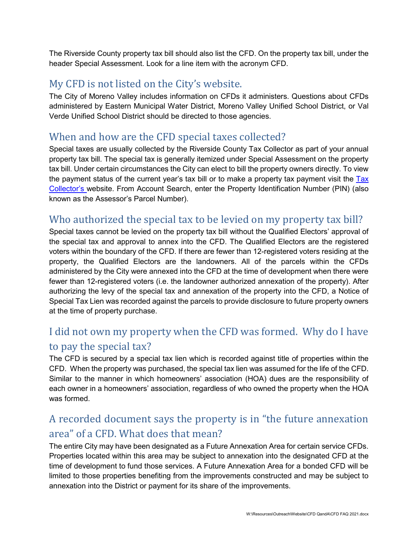The Riverside County property tax bill should also list the CFD. On the property tax bill, under the header Special Assessment. Look for a line item with the acronym CFD.

## My CFD is not listed on the City's website.

The City of Moreno Valley includes information on CFDs it administers. Questions about CFDs administered by Eastern Municipal Water District, Moreno Valley Unified School District, or Val Verde Unified School District should be directed to those agencies.

### When and how are the CFD special taxes collected?

Special taxes are usually collected by the Riverside County Tax Collector as part of your annual property tax bill. The special tax is generally itemized under Special Assessment on the property tax bill. Under certain circumstances the City can elect to bill the property owners directly. To view the payment status of the current year's tax bill or to make a property tax payment visit the  $\overline{Iax}$ [Collector's w](https://ca-riverside-ttc.publicaccessnow.com/)ebsite. From Account Search, enter the Property Identification Number (PIN) (also known as the Assessor's Parcel Number).

### Who authorized the special tax to be levied on my property tax bill?

Special taxes cannot be levied on the property tax bill without the Qualified Electors' approval of the special tax and approval to annex into the CFD. The Qualified Electors are the registered voters within the boundary of the CFD. If there are fewer than 12-registered voters residing at the property, the Qualified Electors are the landowners. All of the parcels within the CFDs administered by the City were annexed into the CFD at the time of development when there were fewer than 12-registered voters (i.e. the landowner authorized annexation of the property). After authorizing the levy of the special tax and annexation of the property into the CFD, a Notice of Special Tax Lien was recorded against the parcels to provide disclosure to future property owners at the time of property purchase.

## I did not own my property when the CFD was formed. Why do I have to pay the special tax?

The CFD is secured by a special tax lien which is recorded against title of properties within the CFD. When the property was purchased, the special tax lien was assumed for the life of the CFD. Similar to the manner in which homeowners' association (HOA) dues are the responsibility of each owner in a homeowners' association, regardless of who owned the property when the HOA was formed.

## A recorded document says the property is in "the future annexation area" of a CFD. What does that mean?

The entire City may have been designated as a Future Annexation Area for certain service CFDs. Properties located within this area may be subject to annexation into the designated CFD at the time of development to fund those services. A Future Annexation Area for a bonded CFD will be limited to those properties benefiting from the improvements constructed and may be subject to annexation into the District or payment for its share of the improvements.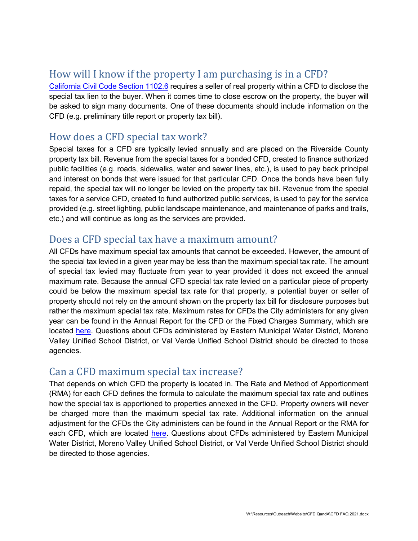## How will I know if the property I am purchasing is in a CFD?

[California Civil Code Section 1102.6](https://leginfo.legislature.ca.gov/faces/codes_displaySection.xhtml?lawCode=CIV§ionNum=1102.6a) requires a seller of real property within a CFD to disclose the special tax lien to the buyer. When it comes time to close escrow on the property, the buyer will be asked to sign many documents. One of these documents should include information on the CFD (e.g. preliminary title report or property tax bill).

#### How does a CFD special tax work?

Special taxes for a CFD are typically levied annually and are placed on the Riverside County property tax bill. Revenue from the special taxes for a bonded CFD, created to finance authorized public facilities (e.g. roads, sidewalks, water and sewer lines, etc.), is used to pay back principal and interest on bonds that were issued for that particular CFD. Once the bonds have been fully repaid, the special tax will no longer be levied on the property tax bill. Revenue from the special taxes for a service CFD, created to fund authorized public services, is used to pay for the service provided (e.g. street lighting, public landscape maintenance, and maintenance of parks and trails, etc.) and will continue as long as the services are provided.

#### Does a CFD special tax have a maximum amount?

All CFDs have maximum special tax amounts that cannot be exceeded. However, the amount of the special tax levied in a given year may be less than the maximum special tax rate. The amount of special tax levied may fluctuate from year to year provided it does not exceed the annual maximum rate. Because the annual CFD special tax rate levied on a particular piece of property could be below the maximum special tax rate for that property, a potential buyer or seller of property should not rely on the amount shown on the property tax bill for disclosure purposes but rather the maximum special tax rate. Maximum rates for CFDs the City administers for any given year can be found in the Annual Report for the CFD or the Fixed Charges Summary, which are located [here.](http://www.moval.org/departments/financial-mgmt-svcs/report-special-districts.html) Questions about CFDs administered by Eastern Municipal Water District, Moreno Valley Unified School District, or Val Verde Unified School District should be directed to those agencies.

### Can a CFD maximum special tax increase?

That depends on which CFD the property is located in. The Rate and Method of Apportionment (RMA) for each CFD defines the formula to calculate the maximum special tax rate and outlines how the special tax is apportioned to properties annexed in the CFD. Property owners will never be charged more than the maximum special tax rate. Additional information on the annual adjustment for the CFDs the City administers can be found in the Annual Report or the RMA for each CFD, which are located [here.](http://www.moval.org/departments/financial-mgmt-svcs/report-special-districts.html) Questions about CFDs administered by Eastern Municipal Water District, Moreno Valley Unified School District, or Val Verde Unified School District should be directed to those agencies.